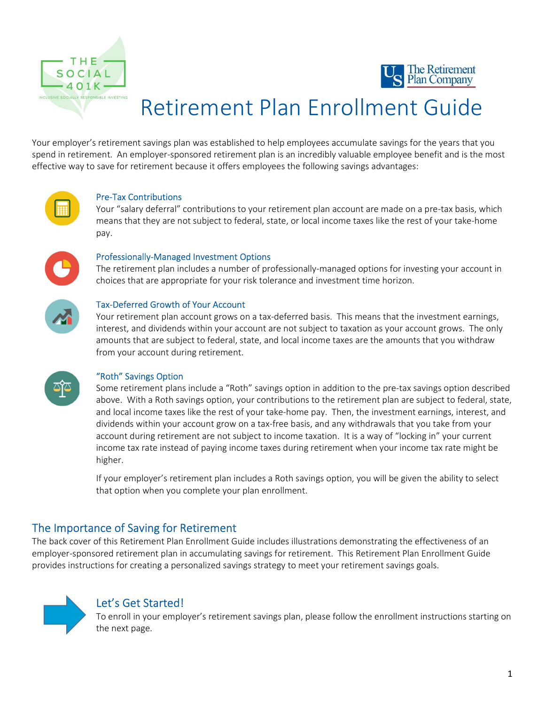



# Retirement Plan Enrollment Guide

Your employer's retirement savings plan was established to help employees accumulate savings for the years that you spend in retirement. An employer-sponsored retirement plan is an incredibly valuable employee benefit and is the most effective way to save for retirement because it offers employees the following savings advantages:



## Pre-Tax Contributions

Your "salary deferral" contributions to your retirement plan account are made on a pre-tax basis, which means that they are not subject to federal, state, or local income taxes like the rest of your take-home pay.



#### Professionally-Managed Investment Options

The retirement plan includes a number of professionally-managed options for investing your account in choices that are appropriate for your risk tolerance and investment time horizon.



### Tax-Deferred Growth of Your Account

Your retirement plan account grows on a tax-deferred basis. This means that the investment earnings, interest, and dividends within your account are not subject to taxation as your account grows. The only amounts that are subject to federal, state, and local income taxes are the amounts that you withdraw from your account during retirement.



## "Roth" Savings Option

Some retirement plans include a "Roth" savings option in addition to the pre-tax savings option described above. With a Roth savings option, your contributions to the retirement plan are subject to federal, state, and local income taxes like the rest of your take-home pay. Then, the investment earnings, interest, and dividends within your account grow on a tax-free basis, and any withdrawals that you take from your account during retirement are not subject to income taxation. It is a way of "locking in" your current income tax rate instead of paying income taxes during retirement when your income tax rate might be higher.

If your employer's retirement plan includes a Roth savings option, you will be given the ability to select that option when you complete your plan enrollment.

# The Importance of Saving for Retirement

The back cover of this Retirement Plan Enrollment Guide includes illustrations demonstrating the effectiveness of an employer-sponsored retirement plan in accumulating savings for retirement. This Retirement Plan Enrollment Guide provides instructions for creating a personalized savings strategy to meet your retirement savings goals.



# Let's Get Started!

To enroll in your employer's retirement savings plan, please follow the enrollment instructions starting on the next page.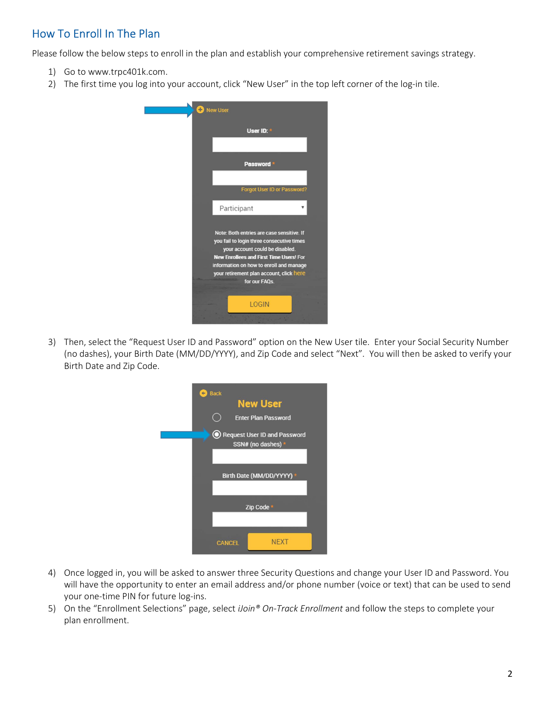# How To Enroll In The Plan

Please follow the below steps to enroll in the plan and establish your comprehensive retirement savings strategy.

- 1) Go to www.trpc401k.com.
- 2) The first time you log into your account, click "New User" in the top left corner of the log-in tile.



3) Then, select the "Request User ID and Password" option on the New User tile. Enter your Social Security Number (no dashes), your Birth Date (MM/DD/YYYY), and Zip Code and select "Next". You will then be asked to verify your Birth Date and Zip Code.



- 4) Once logged in, you will be asked to answer three Security Questions and change your User ID and Password. You will have the opportunity to enter an email address and/or phone number (voice or text) that can be used to send your one-time PIN for future log-ins.
- 5) On the "Enrollment Selections" page, select *iJoin® On-Track Enrollment* and follow the steps to complete your plan enrollment.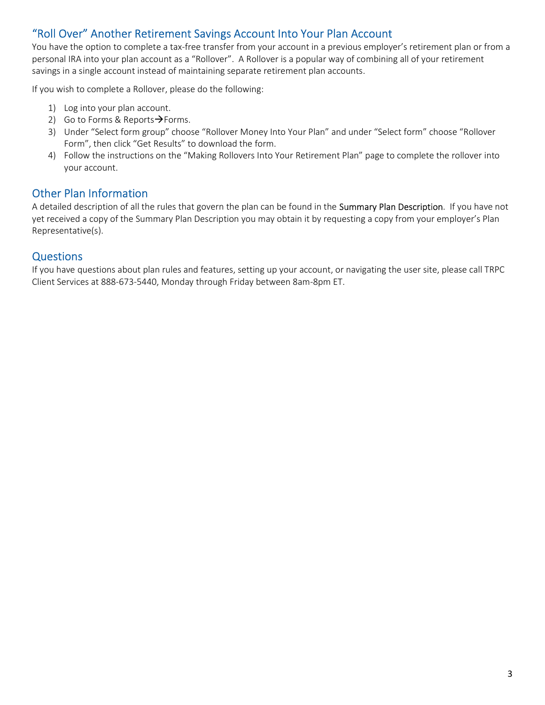# "Roll Over" Another Retirement Savings Account Into Your Plan Account

You have the option to complete a tax-free transfer from your account in a previous employer's retirement plan or from a personal IRA into your plan account as a "Rollover". A Rollover is a popular way of combining all of your retirement savings in a single account instead of maintaining separate retirement plan accounts.

If you wish to complete a Rollover, please do the following:

- 1) Log into your plan account.
- 2) Go to Forms & Reports $\rightarrow$ Forms.
- 3) Under "Select form group" choose "Rollover Money Into Your Plan" and under "Select form" choose "Rollover Form", then click "Get Results" to download the form.
- 4) Follow the instructions on the "Making Rollovers Into Your Retirement Plan" page to complete the rollover into your account.

# Other Plan Information

A detailed description of all the rules that govern the plan can be found in the Summary Plan Description. If you have not yet received a copy of the Summary Plan Description you may obtain it by requesting a copy from your employer's Plan Representative(s).

# **Questions**

If you have questions about plan rules and features, setting up your account, or navigating the user site, please call TRPC Client Services at 888-673-5440, Monday through Friday between 8am-8pm ET.